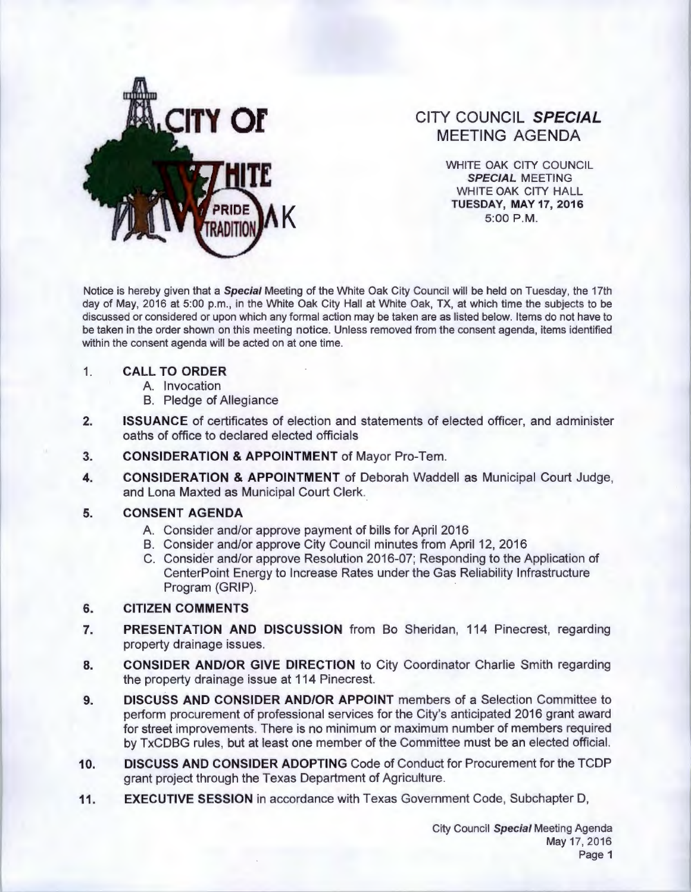

# CITY COUNCIL SPECIAL MEETING AGENDA

WHITE OAK CITY COUNCIL SPECIAL MEETING WHITE OAK CITY HALL TUESDAY, MAY 17, 2016<br>5:00 P.M.

Notice is hereby given that a Special Meeting of the White Oak City Council will be held on Tuesday, the 17th day of May, 2016 at 5:00 p.m., in the White Oak City Hall at White Oak, TX, at which time the subjects to be discussed or considered or upon which any formal action may be taken are as listed below. Items do not have to be taken in the order shown on this meeting notice. Unless removed from the consent agenda, items identified within the consent agenda will be acted on at one time.

### 1. CALL TO ORDER

- A. Invocation
- B. Pledge of Allegiance
- 2. ISSUANCE of certificates of election and statements of elected officer, and administer oaths of office to declared elected officials
- 3. CONSIDERATION & APPOINTMENT of Mayor Pro-Tem.
- 4. CONSIDERATION & APPOINTMENT of Deborah Waddell as Municipal Court Judge, and Lona Maxted as Municipal Court Clerk.

## 5. CONSENT AGENDA

- A. Consider and/or approve payment of bills for April 2016
- B. Consider and/or approve City Council minutes from April 12, 2016
- C. Consider and/or approve Resolution 2016-07; Responding to the Application of CenterPoint Energy to Increase Rates under the Gas Reliability Infrastructure Program (GRIP).

## 6. CITIZEN COMMENTS

- 7. PRESENTATION AND DISCUSSION from Bo Sheridan, 114 Pinecrest, regarding property drainage issues.
- 8. CONSIDER AND/OR GIVE DIRECTION to City Coordinator Charlie Smith regarding the property drainage issue at 114 Pinecrest.
- 9. DISCUSS AND CONSIDER AND/OR APPOINT members of a Selection Committee to perform procurement of professional services for the City's anticipated 2016 grant award for street improvements. There is no minimum or maximum number of members required by TxCDBG rules, but at least one member of the Committee must be an elected official.
- 10. DISCUSS AND CONSIDER ADOPTING Code of Conduct for Procurement for the TCDP grant project through the Texas Department of Agriculture.
- 11. EXECUTIVE SESSION in accordance with Texas Government Code, Subchapter D,